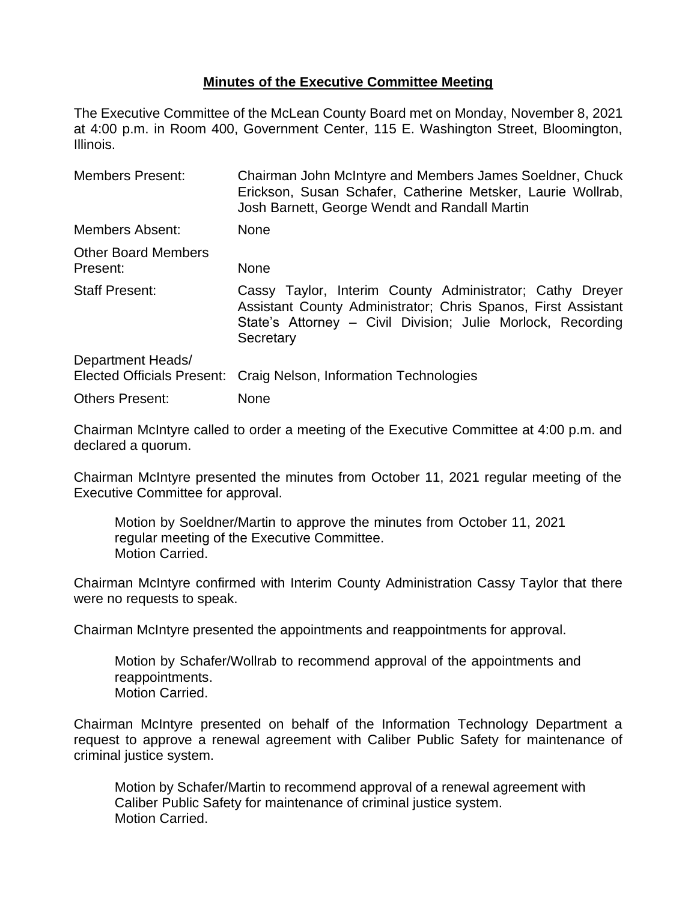## **Minutes of the Executive Committee Meeting**

The Executive Committee of the McLean County Board met on Monday, November 8, 2021 at 4:00 p.m. in Room 400, Government Center, 115 E. Washington Street, Bloomington, Illinois.

| <b>Members Present:</b>                         | Chairman John McIntyre and Members James Soeldner, Chuck<br>Erickson, Susan Schafer, Catherine Metsker, Laurie Wollrab,<br>Josh Barnett, George Wendt and Randall Martin                              |
|-------------------------------------------------|-------------------------------------------------------------------------------------------------------------------------------------------------------------------------------------------------------|
| Members Absent:                                 | <b>None</b>                                                                                                                                                                                           |
| <b>Other Board Members</b><br>Present:          | None                                                                                                                                                                                                  |
| <b>Staff Present:</b>                           | Cassy Taylor, Interim County Administrator; Cathy Dreyer<br>Assistant County Administrator; Chris Spanos, First Assistant<br>State's Attorney – Civil Division; Julie Morlock, Recording<br>Secretary |
| Department Heads/<br>Elected Officials Present: | Craig Nelson, Information Technologies                                                                                                                                                                |
| <b>Others Present:</b>                          | <b>None</b>                                                                                                                                                                                           |

Chairman McIntyre called to order a meeting of the Executive Committee at 4:00 p.m. and declared a quorum.

Chairman McIntyre presented the minutes from October 11, 2021 regular meeting of the Executive Committee for approval.

Motion by Soeldner/Martin to approve the minutes from October 11, 2021 regular meeting of the Executive Committee. Motion Carried.

Chairman McIntyre confirmed with Interim County Administration Cassy Taylor that there were no requests to speak.

Chairman McIntyre presented the appointments and reappointments for approval.

Motion by Schafer/Wollrab to recommend approval of the appointments and reappointments. Motion Carried.

Chairman McIntyre presented on behalf of the Information Technology Department a request to approve a renewal agreement with Caliber Public Safety for maintenance of criminal justice system.

Motion by Schafer/Martin to recommend approval of a renewal agreement with Caliber Public Safety for maintenance of criminal justice system. Motion Carried.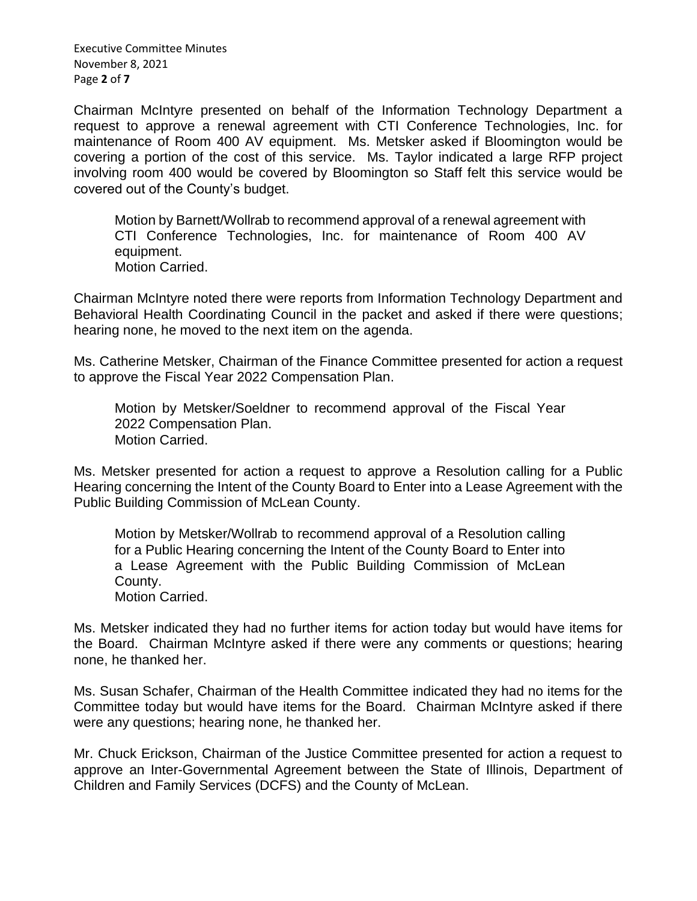Executive Committee Minutes November 8, 2021 Page **2** of **7**

Chairman McIntyre presented on behalf of the Information Technology Department a request to approve a renewal agreement with CTI Conference Technologies, Inc. for maintenance of Room 400 AV equipment. Ms. Metsker asked if Bloomington would be covering a portion of the cost of this service. Ms. Taylor indicated a large RFP project involving room 400 would be covered by Bloomington so Staff felt this service would be covered out of the County's budget.

Motion by Barnett/Wollrab to recommend approval of a renewal agreement with CTI Conference Technologies, Inc. for maintenance of Room 400 AV equipment. Motion Carried.

Chairman McIntyre noted there were reports from Information Technology Department and Behavioral Health Coordinating Council in the packet and asked if there were questions; hearing none, he moved to the next item on the agenda.

Ms. Catherine Metsker, Chairman of the Finance Committee presented for action a request to approve the Fiscal Year 2022 Compensation Plan.

Motion by Metsker/Soeldner to recommend approval of the Fiscal Year 2022 Compensation Plan. Motion Carried.

Ms. Metsker presented for action a request to approve a Resolution calling for a Public Hearing concerning the Intent of the County Board to Enter into a Lease Agreement with the Public Building Commission of McLean County.

Motion by Metsker/Wollrab to recommend approval of a Resolution calling for a Public Hearing concerning the Intent of the County Board to Enter into a Lease Agreement with the Public Building Commission of McLean County.

Motion Carried.

Ms. Metsker indicated they had no further items for action today but would have items for the Board. Chairman McIntyre asked if there were any comments or questions; hearing none, he thanked her.

Ms. Susan Schafer, Chairman of the Health Committee indicated they had no items for the Committee today but would have items for the Board. Chairman McIntyre asked if there were any questions; hearing none, he thanked her.

Mr. Chuck Erickson, Chairman of the Justice Committee presented for action a request to approve an Inter-Governmental Agreement between the State of Illinois, Department of Children and Family Services (DCFS) and the County of McLean.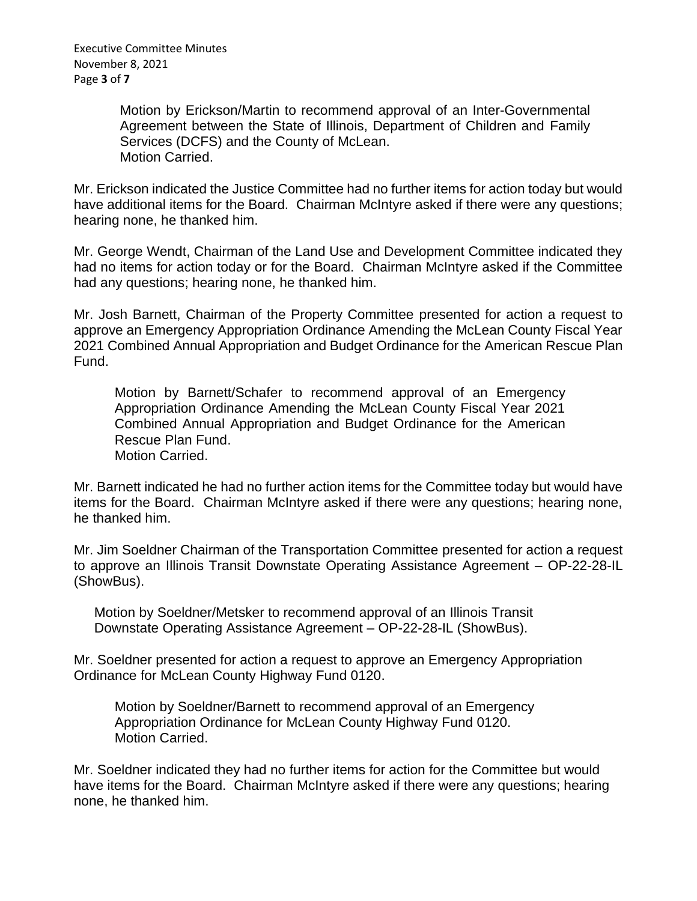Motion by Erickson/Martin to recommend approval of an Inter-Governmental Agreement between the State of Illinois, Department of Children and Family Services (DCFS) and the County of McLean. Motion Carried.

Mr. Erickson indicated the Justice Committee had no further items for action today but would have additional items for the Board. Chairman McIntyre asked if there were any questions; hearing none, he thanked him.

Mr. George Wendt, Chairman of the Land Use and Development Committee indicated they had no items for action today or for the Board. Chairman McIntyre asked if the Committee had any questions; hearing none, he thanked him.

Mr. Josh Barnett, Chairman of the Property Committee presented for action a request to approve an Emergency Appropriation Ordinance Amending the McLean County Fiscal Year 2021 Combined Annual Appropriation and Budget Ordinance for the American Rescue Plan Fund.

Motion by Barnett/Schafer to recommend approval of an Emergency Appropriation Ordinance Amending the McLean County Fiscal Year 2021 Combined Annual Appropriation and Budget Ordinance for the American Rescue Plan Fund. Motion Carried.

Mr. Barnett indicated he had no further action items for the Committee today but would have items for the Board. Chairman McIntyre asked if there were any questions; hearing none, he thanked him.

Mr. Jim Soeldner Chairman of the Transportation Committee presented for action a request to approve an Illinois Transit Downstate Operating Assistance Agreement – OP-22-28-IL (ShowBus).

Motion by Soeldner/Metsker to recommend approval of an Illinois Transit Downstate Operating Assistance Agreement – OP-22-28-IL (ShowBus).

Mr. Soeldner presented for action a request to approve an Emergency Appropriation Ordinance for McLean County Highway Fund 0120.

Motion by Soeldner/Barnett to recommend approval of an Emergency Appropriation Ordinance for McLean County Highway Fund 0120. Motion Carried.

Mr. Soeldner indicated they had no further items for action for the Committee but would have items for the Board. Chairman McIntyre asked if there were any questions; hearing none, he thanked him.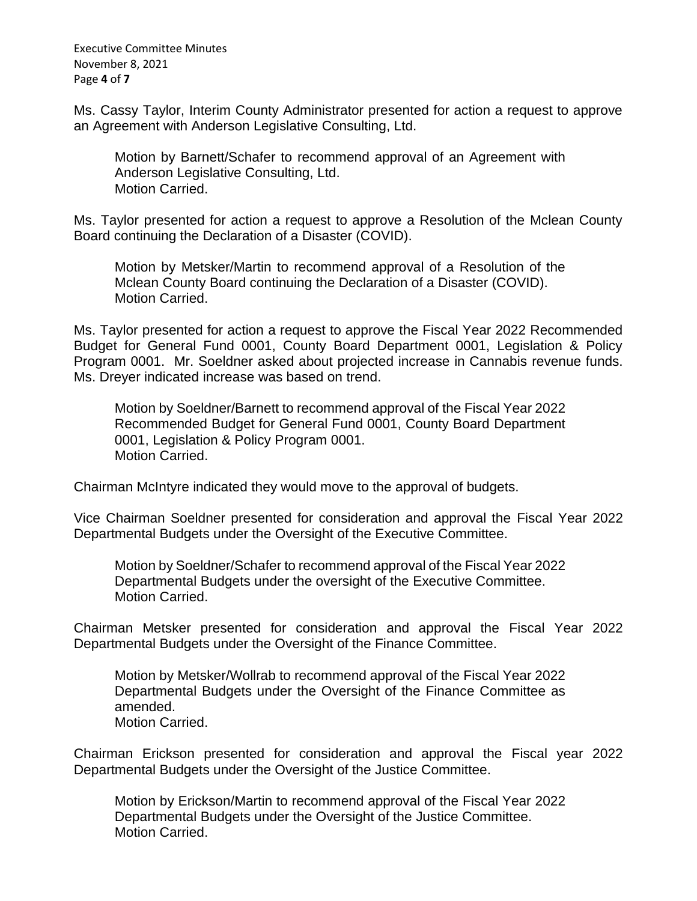Executive Committee Minutes November 8, 2021 Page **4** of **7**

Ms. Cassy Taylor, Interim County Administrator presented for action a request to approve an Agreement with Anderson Legislative Consulting, Ltd.

Motion by Barnett/Schafer to recommend approval of an Agreement with Anderson Legislative Consulting, Ltd. Motion Carried.

Ms. Taylor presented for action a request to approve a Resolution of the Mclean County Board continuing the Declaration of a Disaster (COVID).

Motion by Metsker/Martin to recommend approval of a Resolution of the Mclean County Board continuing the Declaration of a Disaster (COVID). Motion Carried.

Ms. Taylor presented for action a request to approve the Fiscal Year 2022 Recommended Budget for General Fund 0001, County Board Department 0001, Legislation & Policy Program 0001. Mr. Soeldner asked about projected increase in Cannabis revenue funds. Ms. Dreyer indicated increase was based on trend.

Motion by Soeldner/Barnett to recommend approval of the Fiscal Year 2022 Recommended Budget for General Fund 0001, County Board Department 0001, Legislation & Policy Program 0001. Motion Carried.

Chairman McIntyre indicated they would move to the approval of budgets.

Vice Chairman Soeldner presented for consideration and approval the Fiscal Year 2022 Departmental Budgets under the Oversight of the Executive Committee.

Motion by Soeldner/Schafer to recommend approval of the Fiscal Year 2022 Departmental Budgets under the oversight of the Executive Committee. Motion Carried.

Chairman Metsker presented for consideration and approval the Fiscal Year 2022 Departmental Budgets under the Oversight of the Finance Committee.

Motion by Metsker/Wollrab to recommend approval of the Fiscal Year 2022 Departmental Budgets under the Oversight of the Finance Committee as amended. Motion Carried.

Chairman Erickson presented for consideration and approval the Fiscal year 2022 Departmental Budgets under the Oversight of the Justice Committee.

Motion by Erickson/Martin to recommend approval of the Fiscal Year 2022 Departmental Budgets under the Oversight of the Justice Committee. Motion Carried.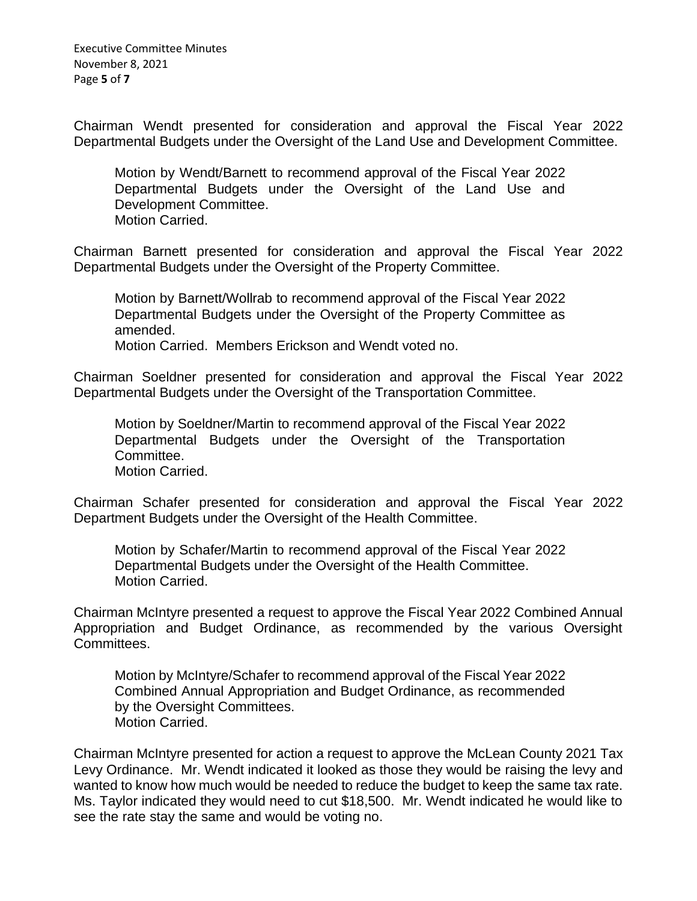Executive Committee Minutes November 8, 2021 Page **5** of **7**

Chairman Wendt presented for consideration and approval the Fiscal Year 2022 Departmental Budgets under the Oversight of the Land Use and Development Committee.

Motion by Wendt/Barnett to recommend approval of the Fiscal Year 2022 Departmental Budgets under the Oversight of the Land Use and Development Committee. Motion Carried.

Chairman Barnett presented for consideration and approval the Fiscal Year 2022 Departmental Budgets under the Oversight of the Property Committee.

Motion by Barnett/Wollrab to recommend approval of the Fiscal Year 2022 Departmental Budgets under the Oversight of the Property Committee as amended.

Motion Carried. Members Erickson and Wendt voted no.

Chairman Soeldner presented for consideration and approval the Fiscal Year 2022 Departmental Budgets under the Oversight of the Transportation Committee.

Motion by Soeldner/Martin to recommend approval of the Fiscal Year 2022 Departmental Budgets under the Oversight of the Transportation Committee. Motion Carried.

Chairman Schafer presented for consideration and approval the Fiscal Year 2022 Department Budgets under the Oversight of the Health Committee.

Motion by Schafer/Martin to recommend approval of the Fiscal Year 2022 Departmental Budgets under the Oversight of the Health Committee. Motion Carried.

Chairman McIntyre presented a request to approve the Fiscal Year 2022 Combined Annual Appropriation and Budget Ordinance, as recommended by the various Oversight Committees.

Motion by McIntyre/Schafer to recommend approval of the Fiscal Year 2022 Combined Annual Appropriation and Budget Ordinance, as recommended by the Oversight Committees. Motion Carried.

Chairman McIntyre presented for action a request to approve the McLean County 2021 Tax Levy Ordinance. Mr. Wendt indicated it looked as those they would be raising the levy and wanted to know how much would be needed to reduce the budget to keep the same tax rate. Ms. Taylor indicated they would need to cut \$18,500. Mr. Wendt indicated he would like to see the rate stay the same and would be voting no.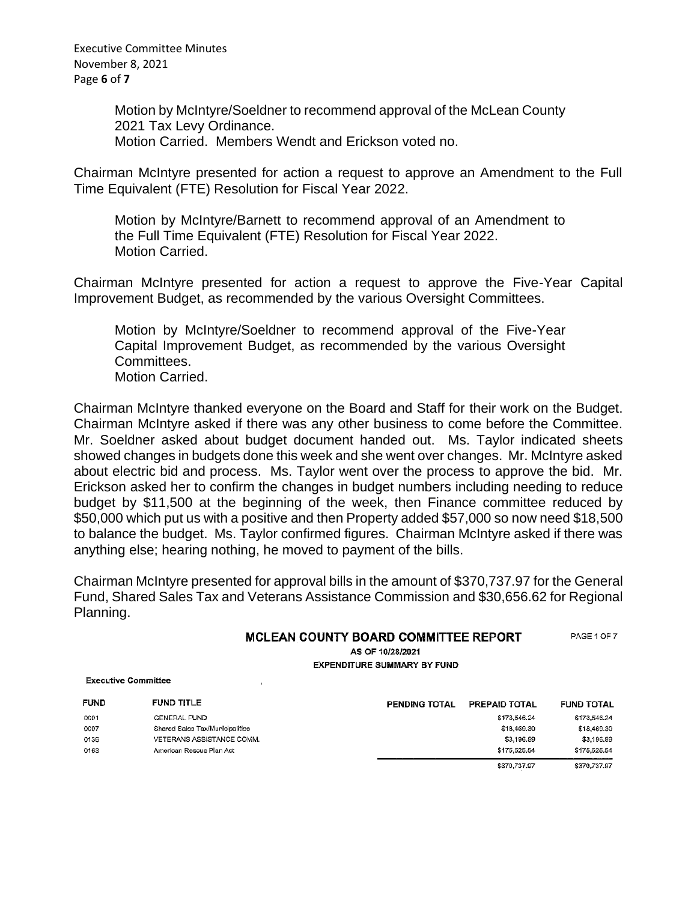Executive Committee Minutes November 8, 2021 Page **6** of **7**

> Motion by McIntyre/Soeldner to recommend approval of the McLean County 2021 Tax Levy Ordinance. Motion Carried. Members Wendt and Erickson voted no.

Chairman McIntyre presented for action a request to approve an Amendment to the Full Time Equivalent (FTE) Resolution for Fiscal Year 2022.

Motion by McIntyre/Barnett to recommend approval of an Amendment to the Full Time Equivalent (FTE) Resolution for Fiscal Year 2022. Motion Carried.

Chairman McIntyre presented for action a request to approve the Five-Year Capital Improvement Budget, as recommended by the various Oversight Committees.

Motion by McIntyre/Soeldner to recommend approval of the Five-Year Capital Improvement Budget, as recommended by the various Oversight Committees. Motion Carried.

Chairman McIntyre thanked everyone on the Board and Staff for their work on the Budget. Chairman McIntyre asked if there was any other business to come before the Committee. Mr. Soeldner asked about budget document handed out. Ms. Taylor indicated sheets showed changes in budgets done this week and she went over changes. Mr. McIntyre asked about electric bid and process. Ms. Taylor went over the process to approve the bid. Mr. Erickson asked her to confirm the changes in budget numbers including needing to reduce budget by \$11,500 at the beginning of the week, then Finance committee reduced by \$50,000 which put us with a positive and then Property added \$57,000 so now need \$18,500 to balance the budget. Ms. Taylor confirmed figures. Chairman McIntyre asked if there was anything else; hearing nothing, he moved to payment of the bills.

Chairman McIntyre presented for approval bills in the amount of \$370,737.97 for the General Fund, Shared Sales Tax and Veterans Assistance Commission and \$30,656.62 for Regional Planning.

| <b>MCLEAN COUNTY BOARD COMMITTEE REPORT</b> | PAGE 1 OF 7 |
|---------------------------------------------|-------------|
| AS OF 10/28/2021                            |             |
| <b>EXPENDITURE SUMMARY BY FUND</b>          |             |

**Executive Committee** 

| <b>FUND</b> | <b>FUND TITLE</b>               | <b>PENDING TOTAL</b> | PREPAID TOTAL | <b>FUND TOTAL</b> |
|-------------|---------------------------------|----------------------|---------------|-------------------|
| 0001        | <b>GENERAL FUND</b>             |                      | \$173.546.24  | \$173,546.24      |
| 0007        | Shared Sales Tax/Municipalities |                      | \$18,469.30   | \$18,469.30       |
| 0136        | VETERANS ASSISTANCE COMM.       |                      | \$3,196.89    | \$3,196,89        |
| 0163        | American Rescue Plan Act        |                      | \$175.525.54  | \$175,525,54      |
|             |                                 |                      | \$370,737.97  | \$370,737.97      |